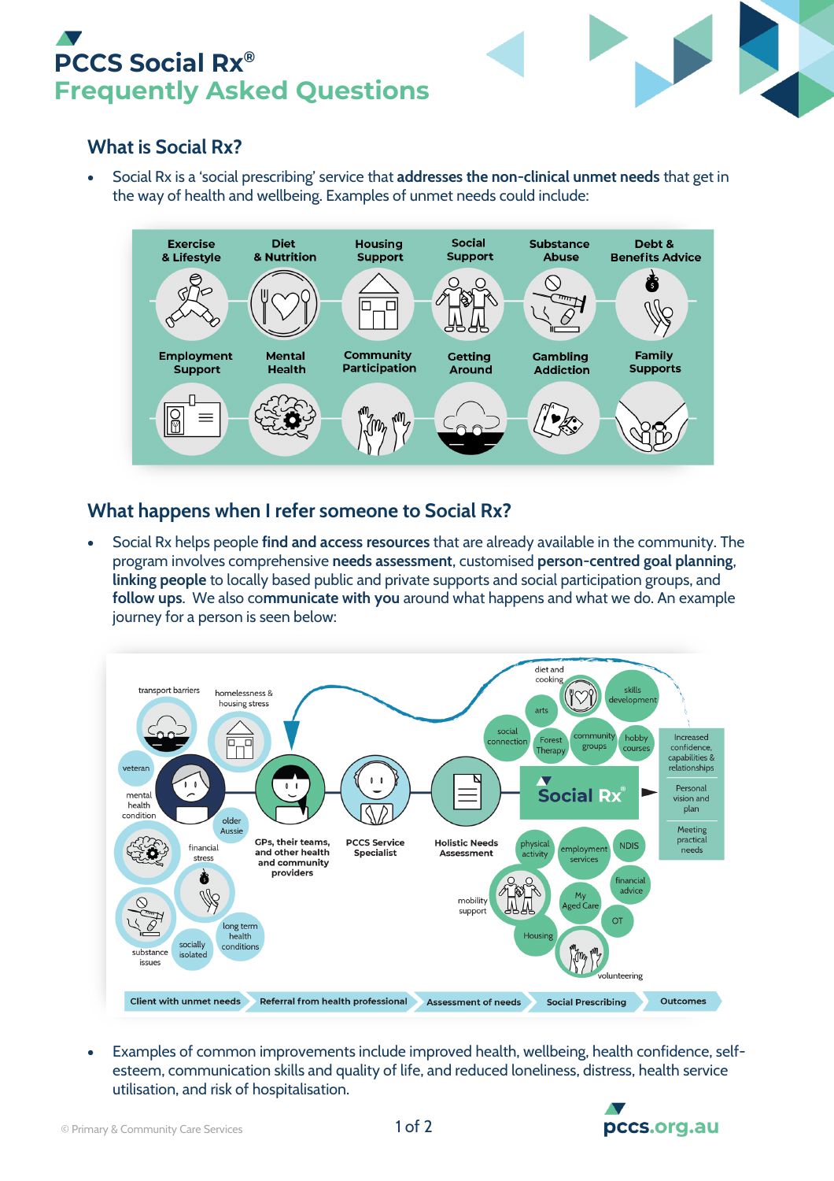# **PCCS Social Rx® Frequently Asked Questions**

## **What is Social Rx?**

• Social Rx is a 'social prescribing' service that **addresses the non-clinical unmet needs** that get in the way of health and wellbeing. Examples of unmet needs could include:



#### **What happens when I refer someone to Social Rx?**

• Social Rx helps people **find and access resources** that are already available in the community. The program involves comprehensive **needs assessment**, customised **person-centred goal planning**, **linking people** to locally based public and private supports and social participation groups, and **follow ups**. We also co**mmunicate with you** around what happens and what we do. An example journey for a person is seen below:



• Examples of common improvements include improved health, wellbeing, health confidence, selfesteem, communication skills and quality of life, and reduced loneliness, distress, health service utilisation, and risk of hospitalisation.